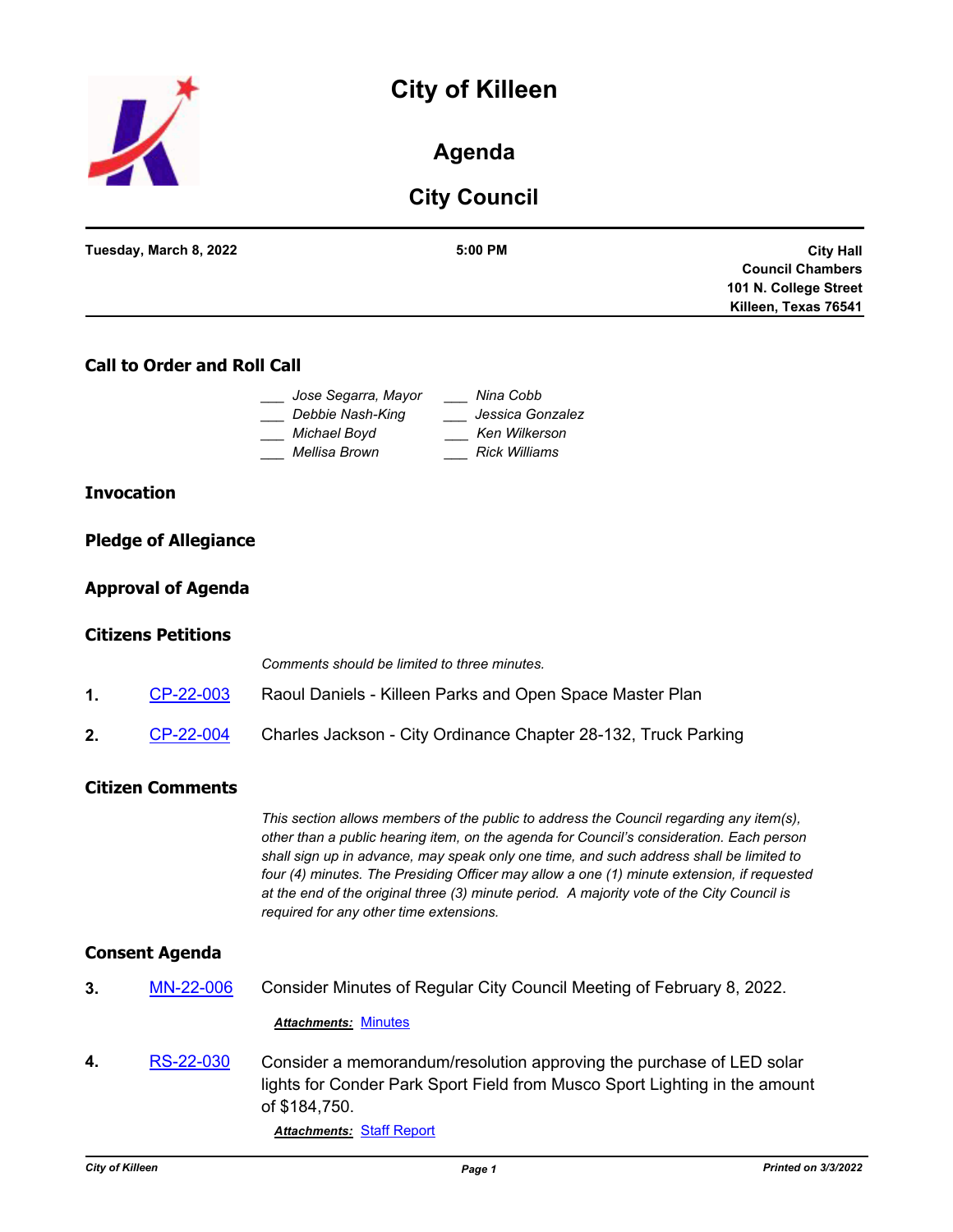# **City of Killeen**



# **Agenda**

# **City Council**

| Tuesday, March 8, 2022 | 5:00 PM | <b>City Hall</b>        |
|------------------------|---------|-------------------------|
|                        |         | <b>Council Chambers</b> |
|                        |         | 101 N. College Street   |
|                        |         | Killeen, Texas 76541    |
|                        |         |                         |

## **Call to Order and Roll Call**

| Jose Segarra, Mayor | Nina Cobb            |
|---------------------|----------------------|
| Debbie Nash-King    | Jessica Gonzalez     |
| Michael Boyd        | Ken Wilkerson        |
| Mellisa Brown       | <b>Rick Williams</b> |

#### **Invocation**

|  | <b>Pledge of Allegiance</b> |
|--|-----------------------------|
|  |                             |

#### **Approval of Agenda**

#### **Citizens Petitions**

|               |           | Comments should be limited to three minutes.                   |
|---------------|-----------|----------------------------------------------------------------|
| $\mathbf 1$ . | CP-22-003 | Raoul Daniels - Killeen Parks and Open Space Master Plan       |
| 2.            | CP-22-004 | Charles Jackson - City Ordinance Chapter 28-132, Truck Parking |

#### **Citizen Comments**

*This section allows members of the public to address the Council regarding any item(s), other than a public hearing item, on the agenda for Council's consideration. Each person shall sign up in advance, may speak only one time, and such address shall be limited to four (4) minutes. The Presiding Officer may allow a one (1) minute extension, if requested at the end of the original three (3) minute period. A majority vote of the City Council is required for any other time extensions.*

#### **Consent Agenda**

**3.** [MN-22-006](http://killeen.legistar.com/gateway.aspx?m=l&id=/matter.aspx?key=5983) Consider Minutes of Regular City Council Meeting of February 8, 2022.

*Attachments:* [Minutes](http://killeen.legistar.com/gateway.aspx?M=F&ID=a5917534-c3d8-43a5-926b-77955a1482b3.pdf)

**4.** [RS-22-030](http://killeen.legistar.com/gateway.aspx?m=l&id=/matter.aspx?key=5964) Consider a memorandum/resolution approving the purchase of LED solar lights for Conder Park Sport Field from Musco Sport Lighting in the amount of \$184,750.

*Attachments:* [Staff Report](http://killeen.legistar.com/gateway.aspx?M=F&ID=74ead736-d2dd-4da6-9e7c-9a2b01aac436.pdf)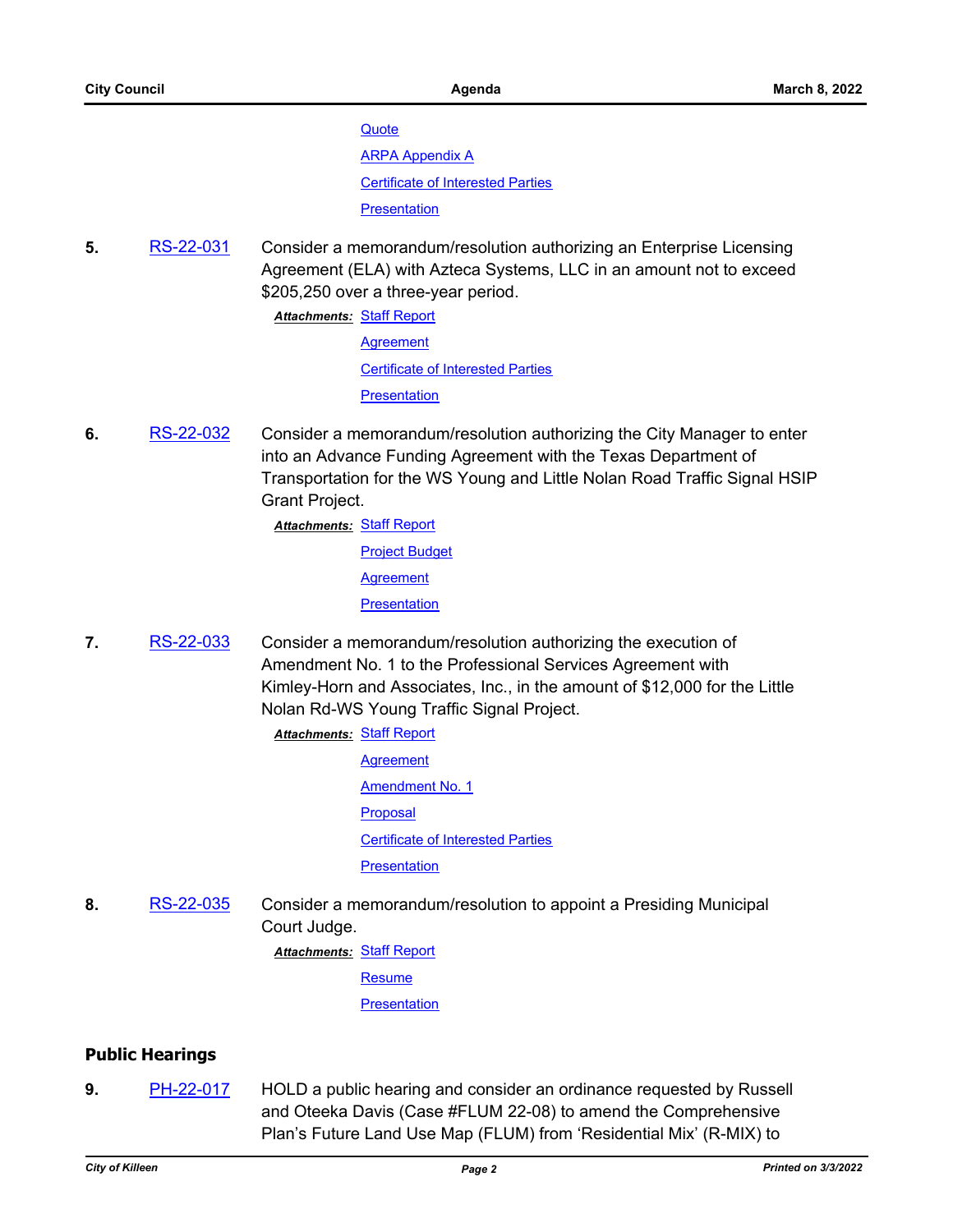**[Quote](http://killeen.legistar.com/gateway.aspx?M=F&ID=1792d3b4-3f1d-4c63-9090-54dad1b46006.pdf)** 

[ARPA Appendix A](http://killeen.legistar.com/gateway.aspx?M=F&ID=da6580ff-2b64-45f0-99fe-7938424d4bd7.pdf)

[Certificate of Interested Parties](http://killeen.legistar.com/gateway.aspx?M=F&ID=c18d4e12-a75e-4662-b39a-983f6677d141.pdf)

**[Presentation](http://killeen.legistar.com/gateway.aspx?M=F&ID=ba3e7b53-2d29-4fa7-8589-b33a55210bd3.pdf)** 

**5.** [RS-22-031](http://killeen.legistar.com/gateway.aspx?m=l&id=/matter.aspx?key=5977) Consider a memorandum/resolution authorizing an Enterprise Licensing Agreement (ELA) with Azteca Systems, LLC in an amount not to exceed \$205,250 over a three-year period.

**Attachments: [Staff Report](http://killeen.legistar.com/gateway.aspx?M=F&ID=6e56a0d6-69cf-4ec9-8267-899bca187909.pdf)** 

**[Agreement](http://killeen.legistar.com/gateway.aspx?M=F&ID=cf0958eb-536b-4204-ae7b-8312bedb3c0d.pdf)** [Certificate of Interested Parties](http://killeen.legistar.com/gateway.aspx?M=F&ID=0e778716-29e6-4edb-bf6e-5a3a30579918.pdf) **[Presentation](http://killeen.legistar.com/gateway.aspx?M=F&ID=740f9617-9ae7-4769-b8bd-66b8f7725505.pdf)** 

**6.** [RS-22-032](http://killeen.legistar.com/gateway.aspx?m=l&id=/matter.aspx?key=5979) Consider a memorandum/resolution authorizing the City Manager to enter into an Advance Funding Agreement with the Texas Department of Transportation for the WS Young and Little Nolan Road Traffic Signal HSIP Grant Project.

**Attachments: [Staff Report](http://killeen.legistar.com/gateway.aspx?M=F&ID=4fba92ae-961e-489a-91d8-f5f99cfa8390.pdf)** 

[Project Budget](http://killeen.legistar.com/gateway.aspx?M=F&ID=e983bd93-07c1-4701-84b9-64f639878adb.pdf) **[Agreement](http://killeen.legistar.com/gateway.aspx?M=F&ID=52480a64-e600-43ad-99f7-8454e3c8bc88.pdf) [Presentation](http://killeen.legistar.com/gateway.aspx?M=F&ID=1be771a8-e54f-4643-90be-015b692eec52.pdf)** 

- **7.** [RS-22-033](http://killeen.legistar.com/gateway.aspx?m=l&id=/matter.aspx?key=5978) Consider a memorandum/resolution authorizing the execution of Amendment No. 1 to the Professional Services Agreement with Kimley-Horn and Associates, Inc., in the amount of \$12,000 for the Little Nolan Rd-WS Young Traffic Signal Project.
	- **Attachments: [Staff Report](http://killeen.legistar.com/gateway.aspx?M=F&ID=d62ec1b0-16f1-4aee-8708-f54e90cb4fa0.pdf)** 
		- [Agreement](http://killeen.legistar.com/gateway.aspx?M=F&ID=7c3455d8-4a2e-4d6b-8d09-9c6026575f01.pdf) [Amendment No. 1](http://killeen.legistar.com/gateway.aspx?M=F&ID=e1264ff7-4701-4c1b-8e1f-d98f224ea1e5.pdf) [Proposal](http://killeen.legistar.com/gateway.aspx?M=F&ID=6bfbf50e-730e-42b3-9422-13ac083eb133.pdf) [Certificate of Interested Parties](http://killeen.legistar.com/gateway.aspx?M=F&ID=aaf11bed-2007-4986-8c7c-e612290bc0cf.pdf) **[Presentation](http://killeen.legistar.com/gateway.aspx?M=F&ID=39346fdb-87e1-4155-9693-f7a5d2f8e57c.pdf)**
- **8.** [RS-22-035](http://killeen.legistar.com/gateway.aspx?m=l&id=/matter.aspx?key=6016) Consider a memorandum/resolution to appoint a Presiding Municipal Court Judge.

**Attachments: [Staff Report](http://killeen.legistar.com/gateway.aspx?M=F&ID=dc4cb3d1-632a-4e7d-b261-d819f0045370.pdf)** 

[Resume](http://killeen.legistar.com/gateway.aspx?M=F&ID=44ed03ac-5501-4727-8bb6-7e6b9767a4e7.pdf)

**[Presentation](http://killeen.legistar.com/gateway.aspx?M=F&ID=083010ea-f03c-425b-a9ff-c61ef34650c7.pdf)** 

## **Public Hearings**

**9.** [PH-22-017](http://killeen.legistar.com/gateway.aspx?m=l&id=/matter.aspx?key=5950) HOLD a public hearing and consider an ordinance requested by Russell and Oteeka Davis (Case #FLUM 22-08) to amend the Comprehensive Plan's Future Land Use Map (FLUM) from 'Residential Mix' (R-MIX) to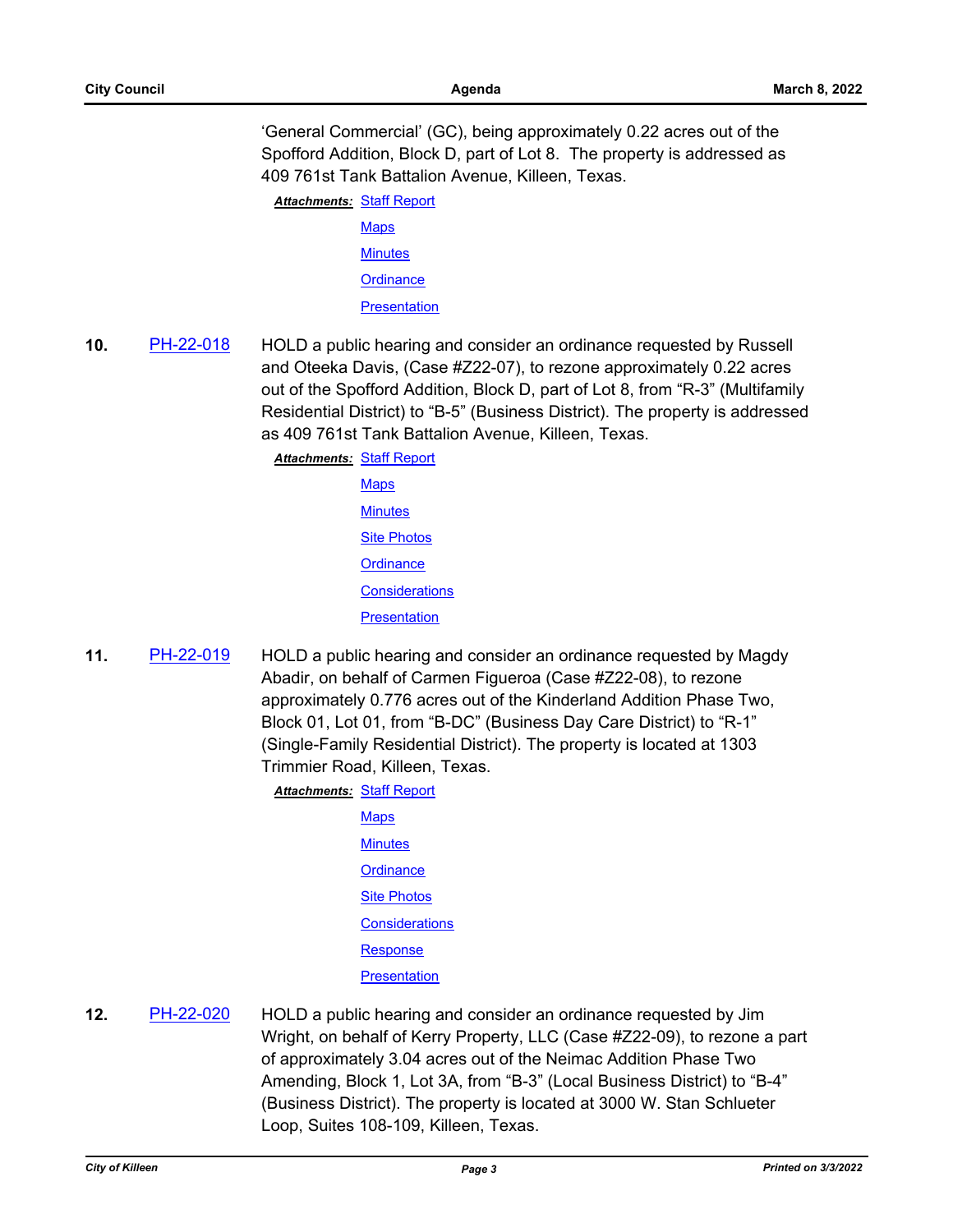'General Commercial' (GC), being approximately 0.22 acres out of the Spofford Addition, Block D, part of Lot 8. The property is addressed as 409 761st Tank Battalion Avenue, Killeen, Texas.

**Attachments: [Staff Report](http://killeen.legistar.com/gateway.aspx?M=F&ID=031f4742-df33-47f3-8808-40f83f45d7b5.pdf)** 

[Maps](http://killeen.legistar.com/gateway.aspx?M=F&ID=15d965c3-7c07-4210-bef5-7810864ca0ea.pdf) **[Minutes](http://killeen.legistar.com/gateway.aspx?M=F&ID=5a99fabc-9085-4289-9d07-298561f1045c.pdf) [Ordinance](http://killeen.legistar.com/gateway.aspx?M=F&ID=033369cd-38d6-4536-b3ad-9c44afd8349a.pdf)** 

**[Presentation](http://killeen.legistar.com/gateway.aspx?M=F&ID=333e9fdd-05a2-48d6-98c7-80e377c72e57.pdf)** 

**10.** [PH-22-018](http://killeen.legistar.com/gateway.aspx?m=l&id=/matter.aspx?key=5949) HOLD a public hearing and consider an ordinance requested by Russell and Oteeka Davis, (Case #Z22-07), to rezone approximately 0.22 acres out of the Spofford Addition, Block D, part of Lot 8, from "R-3" (Multifamily Residential District) to "B-5" (Business District). The property is addressed as 409 761st Tank Battalion Avenue, Killeen, Texas.

[Staff Report](http://killeen.legistar.com/gateway.aspx?M=F&ID=f6b027b4-37a8-4fe1-bd67-54bc46cb0f98.pdf) *Attachments:*

- [Maps](http://killeen.legistar.com/gateway.aspx?M=F&ID=54352a3d-dc6a-4f14-94f9-3dfda224f871.pdf) **[Minutes](http://killeen.legistar.com/gateway.aspx?M=F&ID=5cb3c470-ce7c-48c5-8f80-dbdee5860e04.pdf)** [Site Photos](http://killeen.legistar.com/gateway.aspx?M=F&ID=ad08ccfa-7752-4feb-a289-5c306debdcd8.pdf) **[Ordinance](http://killeen.legistar.com/gateway.aspx?M=F&ID=c7681cb0-d59e-4b13-a39f-2155636a6bd9.pdf) [Considerations](http://killeen.legistar.com/gateway.aspx?M=F&ID=4b30d031-88a7-47b5-91ba-126aa13586ba.pdf) [Presentation](http://killeen.legistar.com/gateway.aspx?M=F&ID=d91aab24-3414-4799-9c9b-88005a4b93af.pdf)**
- **11.** [PH-22-019](http://killeen.legistar.com/gateway.aspx?m=l&id=/matter.aspx?key=5951) HOLD a public hearing and consider an ordinance requested by Magdy Abadir, on behalf of Carmen Figueroa (Case #Z22-08), to rezone approximately 0.776 acres out of the Kinderland Addition Phase Two, Block 01, Lot 01, from "B-DC" (Business Day Care District) to "R-1" (Single-Family Residential District). The property is located at 1303 Trimmier Road, Killeen, Texas.

**Attachments: [Staff Report](http://killeen.legistar.com/gateway.aspx?M=F&ID=4fe2cfed-32ac-4daa-8449-904ab6ba3adc.pdf)** 

**[Maps](http://killeen.legistar.com/gateway.aspx?M=F&ID=df72ce5d-3035-4107-ab83-f9cbc4292985.pdf) [Minutes](http://killeen.legistar.com/gateway.aspx?M=F&ID=3e52be35-370b-4596-aec3-25e156263743.pdf) [Ordinance](http://killeen.legistar.com/gateway.aspx?M=F&ID=cc731b99-2270-480c-9e37-5f0351a38b2e.pdf)** [Site Photos](http://killeen.legistar.com/gateway.aspx?M=F&ID=2ff2e4ee-eda4-46f5-947c-b95b53f5c8bc.pdf) **[Considerations](http://killeen.legistar.com/gateway.aspx?M=F&ID=df81ce7b-e7cf-46b3-b2aa-dae8d6687d69.pdf)** [Response](http://killeen.legistar.com/gateway.aspx?M=F&ID=cb282190-d44f-4d9a-a86f-b0a0ae224819.pdf) **[Presentation](http://killeen.legistar.com/gateway.aspx?M=F&ID=f680ad04-e6ea-47bc-8aba-c71edad21d78.pdf)** 

**12.** [PH-22-020](http://killeen.legistar.com/gateway.aspx?m=l&id=/matter.aspx?key=5952) HOLD a public hearing and consider an ordinance requested by Jim Wright, on behalf of Kerry Property, LLC (Case #Z22-09), to rezone a part of approximately 3.04 acres out of the Neimac Addition Phase Two Amending, Block 1, Lot 3A, from "B-3" (Local Business District) to "B-4" (Business District). The property is located at 3000 W. Stan Schlueter Loop, Suites 108-109, Killeen, Texas.